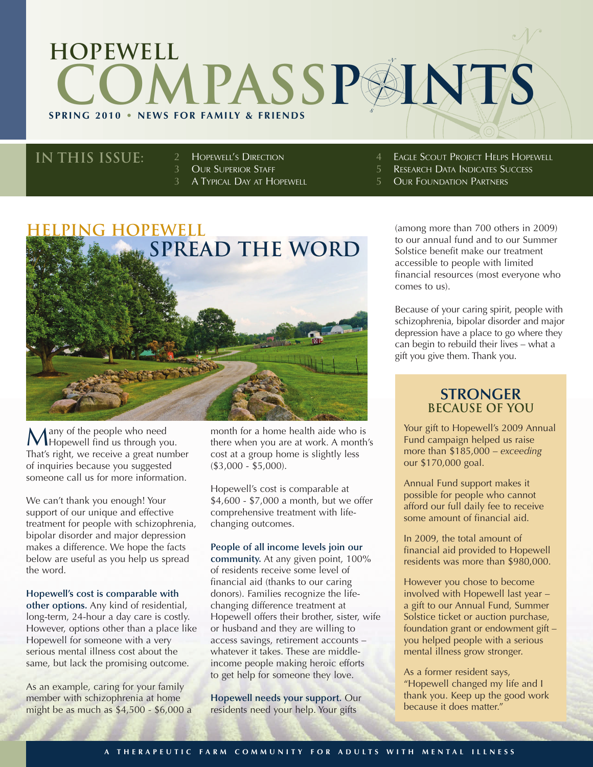# **SPRING 2010 • NEWS FOR FAMILY & FRIENDS hopewell COMPASSE INTS**

### **IN this issue:**

2 **HOPEWELL'S DIRECTION** 

- 3 OUR SUPERIOR STAFF<br>3 A Typical Day at Ho
	- A TYPICAL DAY AT HOPEWELL
- **EAGLE SCOUT PROJECT HELPS HOPEWELL**
- RESEARCH DATA INDICATES SUCCESS
- **OUR FOUNDATION PARTNERS**



Many of the people who need<br>Hopewell find us through you. That's right, we receive a great number of inquiries because you suggested someone call us for more information.

We can't thank you enough! Your support of our unique and effective treatment for people with schizophrenia, bipolar disorder and major depression makes a difference. We hope the facts below are useful as you help us spread the word.

#### **Hopewell's cost is comparable with**

**other options.** Any kind of residential, long-term, 24-hour a day care is costly. However, options other than a place like Hopewell for someone with a very serious mental illness cost about the same, but lack the promising outcome.

As an example, caring for your family member with schizophrenia at home might be as much as \$4,500 - \$6,000 a

month for a home health aide who is there when you are at work. A month's cost at a group home is slightly less (\$3,000 - \$5,000).

Hopewell's cost is comparable at \$4,600 - \$7,000 a month, but we offer comprehensive treatment with lifechanging outcomes.

#### **People of all income levels join our**

**community.** At any given point, 100% of residents receive some level of financial aid (thanks to our caring donors). Families recognize the lifechanging difference treatment at Hopewell offers their brother, sister, wife or husband and they are willing to access savings, retirement accounts – whatever it takes. These are middleincome people making heroic efforts to get help for someone they love.

**Hopewell needs your support.** Our residents need your help. Your gifts

(among more than 700 others in 2009) to our annual fund and to our Summer Solstice benefit make our treatment accessible to people with limited financial resources (most everyone who comes to us).

Because of your caring spirit, people with schizophrenia, bipolar disorder and major depression have a place to go where they can begin to rebuild their lives – what a gift you give them. Thank you.

### **STRONGER Because of You**

Your gift to Hopewell's 2009 Annual Fund campaign helped us raise more than \$185,000 – *exceeding* our \$170,000 goal.

Annual Fund support makes it possible for people who cannot afford our full daily fee to receive some amount of financial aid.

In 2009, the total amount of financial aid provided to Hopewell residents was more than \$980,000.

However you chose to become involved with Hopewell last year – a gift to our Annual Fund, Summer Solstice ticket or auction purchase, foundation grant or endowment gift – you helped people with a serious mental illness grow stronger.

As a former resident says, "Hopewell changed my life and I thank you. Keep up the good work because it does matter."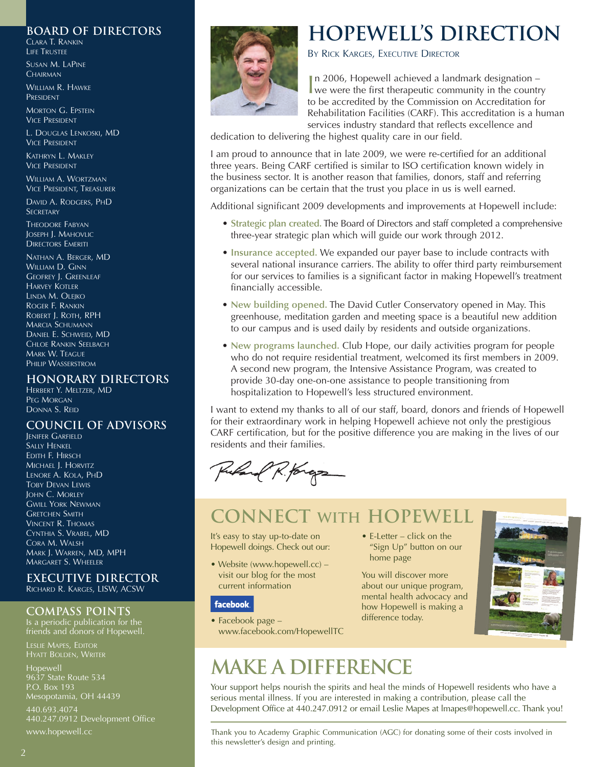#### **board of directors**

CLARA T. RANKIN LIFE TRUSTEE

SUSAN M. LAPINE **CHAIRMAN** 

WILLIAM R. HAWKE PRESIDENT

MORTON G. EPSTEIN VICE PRESIDENT

L. DOUGLAS LENKOSKI, MD VICE PRESIDENT

KATHRYN L. MAKLEY VICE PRESIDENT

WILLIAM A. WORTZMAN VICE PRESIDENT, TREASURER

DAVID A. RODGERS, PHD **SECRETARY** 

THEODORE FABYAN JOSEPH J. MAHOVLIC DIRECTORS EMERITI

NATHAN A. BERGER, MD WILLIAM D. GINN GEOFREY J. GREENLEAF HARVEY KOTLER LINDA M. OLEJKO ROGER F. RANKIN ROBERT J. ROTH, RPH MARCIA SCHUMANN DANIEL E. SCHWEID, MD CHLOE RANKIN SEELBACH MARK W. TEAGUE PHILIP WASSERSTROM

### **honorary directors**

HERBERT Y. MELTZER, MD PEG MORGAN DONNA S. REID

### **council of advisors**

JENIFER GARFIELD **SALLY HENKEL** EDITH F. HIRSCH MICHAEL J. HORVITZ LENORE A. KOLA, PHD TOBY DEVAN LEWIS JOHN C. MORLEY GWILL YORK NEWMAN GRETCHEN SMITH VINCENT R. THOMAS CYNTHIA S. VRABEL, MD CORA M. WALSH MARK J. WARREN, MD, MPH MARGARET S. WHEELER

#### **executive director** RICHARD R. KARGES, LISW, ACSW

#### **compass points**

Is a periodic publication for the friends and donors of Hopewell.

**Hopewell** 9637 State Route 534 P.O. Box 193 Mesopotamia, OH 44439

440.693.4074 440.247.0912 Development Office www.hopewell.cc



### **Hopewell's direction**

BY RICK KARGES, EXECUTIVE DIRECTOR

In 2006, Hopewell achieved a landmark designation –<br>we were the first therapeutic community in the country n 2006, Hopewell achieved a landmark designation – to be accredited by the Commission on Accreditation for Rehabilitation Facilities (CARF). This accreditation is a human services industry standard that reflects excellence and

dedication to delivering the highest quality care in our field.

I am proud to announce that in late 2009, we were re-certified for an additional three years. Being CARF certified is similar to ISO certification known widely in the business sector. It is another reason that families, donors, staff and referring organizations can be certain that the trust you place in us is well earned.

Additional significant 2009 developments and improvements at Hopewell include:

- **Strategic plan created.** The Board of Directors and staff completed a comprehensive three-year strategic plan which will guide our work through 2012.
- **Insurance accepted.** We expanded our payer base to include contracts with several national insurance carriers. The ability to offer third party reimbursement for our services to families is a significant factor in making Hopewell's treatment financially accessible.
- **New building opened.** The David Cutler Conservatory opened in May. This greenhouse, meditation garden and meeting space is a beautiful new addition to our campus and is used daily by residents and outside organizations.
- **New programs launched.** Club Hope, our daily activities program for people who do not require residential treatment, welcomed its first members in 2009. A second new program, the Intensive Assistance Program, was created to provide 30-day one-on-one assistance to people transitioning from hospitalization to Hopewell's less structured environment.

I want to extend my thanks to all of our staff, board, donors and friends of Hopewell for their extraordinary work in helping Hopewell achieve not only the prestigious CARF certification, but for the positive difference you are making in the lives of our residents and their families.

Puland R. Kongs

### **Connect with Hopewell**

It's easy to stay up-to-date on Hopewell doings. Check out our:

• Website (www.hopewell.cc) – visit our blog for the most current information

#### **facebook**

- Facebook page www.facebook.com/HopewellTC
- E-Letter click on the "Sign Up" button on our home page

You will discover more about our unique program, mental health advocacy and how Hopewell is making a difference today.



## **make a difference**

Your support helps nourish the spirits and heal the minds of Hopewell residents who have a serious mental illness. If you are interested in making a contribution, please call the Development Office at 440.247.0912 or email Leslie Mapes at lmapes@hopewell.cc. Thank you!

Thank you to Academy Graphic Communication (AGC) for donating some of their costs involved in this newsletter's design and printing.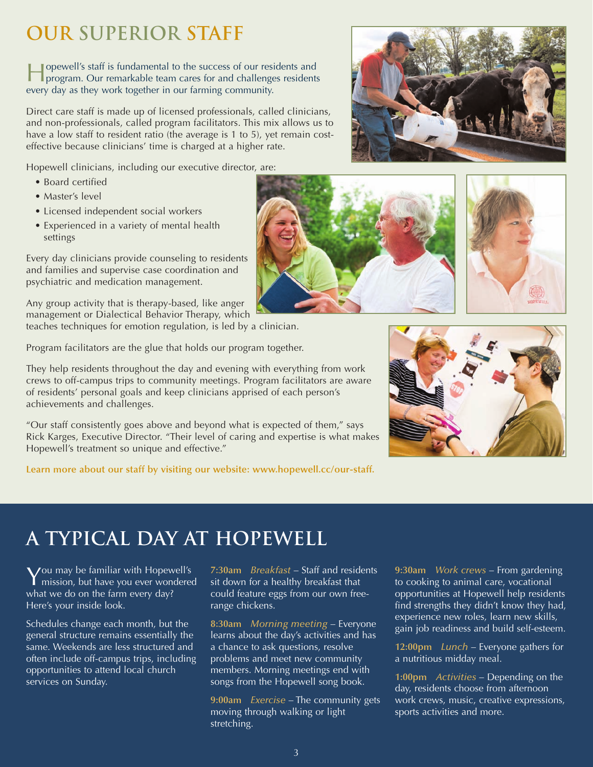## **Our Superior Staff**

Hopewell's staff is fundamental to the success of our residents and program. Our remarkable team cares for and challenges residents every day as they work together in our farming community.

Direct care staff is made up of licensed professionals, called clinicians, and non-professionals, called program facilitators. This mix allows us to have a low staff to resident ratio (the average is 1 to 5), yet remain costeffective because clinicians' time is charged at a higher rate.

Hopewell clinicians, including our executive director, are:

- Board certified
- Master's level
- Licensed independent social workers
- Experienced in a variety of mental health settings

Every day clinicians provide counseling to residents and families and supervise case coordination and psychiatric and medication management.

Any group activity that is therapy-based, like anger management or Dialectical Behavior Therapy, which teaches techniques for emotion regulation, is led by a clinician.

Program facilitators are the glue that holds our program together.

They help residents throughout the day and evening with everything from work crews to off-campus trips to community meetings. Program facilitators are aware of residents' personal goals and keep clinicians apprised of each person's achievements and challenges.

"Our staff consistently goes above and beyond what is expected of them," says Rick Karges, Executive Director. "Their level of caring and expertise is what makes Hopewell's treatment so unique and effective."

**Learn more about our staff by visiting our website: www.hopewell.cc/our-staff.**

## **A Typical Day at Hopewell**

You may be familiar with Hopewell's mission, but have you ever wondered what we do on the farm every day? Here's your inside look.

Schedules change each month, but the general structure remains essentially the same. Weekends are less structured and often include off-campus trips, including opportunities to attend local church services on Sunday.

**7:30am** *Breakfast* – Staff and residents sit down for a healthy breakfast that could feature eggs from our own freerange chickens.

**8:30am** *Morning meeting* – Everyone learns about the day's activities and has a chance to ask questions, resolve problems and meet new community members. Morning meetings end with songs from the Hopewell song book.

**9:00am** *Exercise* – The community gets moving through walking or light stretching.

**9:30am** *Work crews* – From gardening to cooking to animal care, vocational opportunities at Hopewell help residents find strengths they didn't know they had, experience new roles, learn new skills, gain job readiness and build self-esteem.

**12:00pm** *Lunch* – Everyone gathers for a nutritious midday meal.

**1:00pm** *Activities* – Depending on the day, residents choose from afternoon work crews, music, creative expressions, sports activities and more.









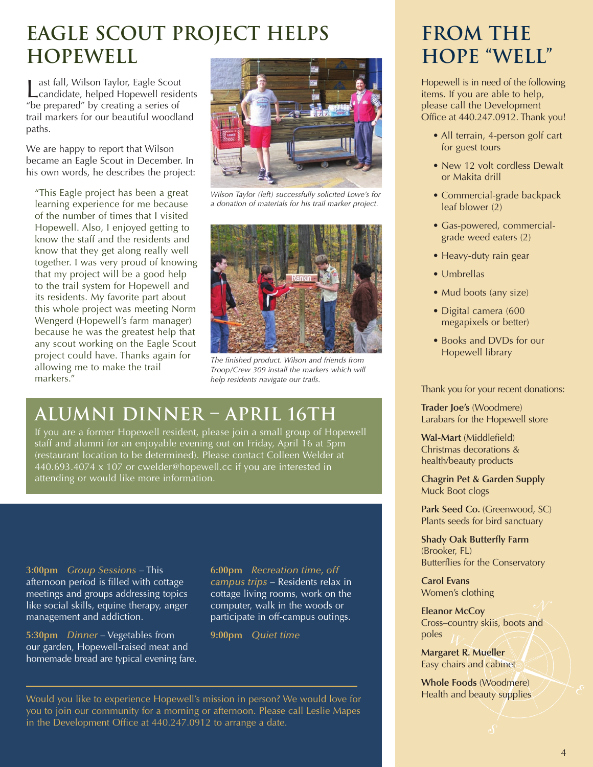## **Eagle Scout Project Helps Hopewell**

Last fall, Wilson Taylor, Eagle Scout<br>
candidate, helped Hopewell residents "be prepared" by creating a series of trail markers for our beautiful woodland paths.

We are happy to report that Wilson became an Eagle Scout in December. In his own words, he describes the project:

"This Eagle project has been a great learning experience for me because of the number of times that I visited Hopewell. Also, I enjoyed getting to know the staff and the residents and know that they get along really well together. I was very proud of knowing that my project will be a good help to the trail system for Hopewell and its residents. My favorite part about this whole project was meeting Norm Wengerd (Hopewell's farm manager) because he was the greatest help that any scout working on the Eagle Scout project could have. Thanks again for allowing me to make the trail markers."



*Wilson Taylor (left) successfully solicited Lowe's for a donation of materials for his trail marker project.*



*The finished product. Wilson and friends from Troop/Crew 309 install the markers which will help residents navigate our trails.*

### **Alumni Dinner – April 16th**

If you are a former Hopewell resident, please join a small group of Hopewell staff and alumni for an enjoyable evening out on Friday, April 16 at 5pm (restaurant location to be determined). Please contact Colleen Welder at 440.693.4074 x 107 or cwelder@hopewell.cc if you are interested in attending or would like more information.

**3:00pm** *Group Sessions* – This afternoon period is filled with cottage meetings and groups addressing topics like social skills, equine therapy, anger management and addiction.

**5:30pm** *Dinner* – Vegetables from our garden, Hopewell-raised meat and homemade bread are typical evening fare. **6:00pm** *Recreation time, off campus trips* – Residents relax in cottage living rooms, work on the computer, walk in the woods or participate in off-campus outings.

**9:00pm** *Quiet time*

Would you like to experience Hopewell's mission in person? We would love for you to join our community for a morning or afternoon. Please call Leslie Mapes in the Development Office at 440.247.0912 to arrange a date.

### **From the Hope "Well"**

Hopewell is in need of the following items. If you are able to help, please call the Development Office at 440.247.0912. Thank you!

- All terrain, 4-person golf cart for guest tours
- New 12 volt cordless Dewalt or Makita drill
- Commercial-grade backpack leaf blower (2)
- Gas-powered, commercialgrade weed eaters (2)
- Heavy-duty rain gear
- Umbrellas
- Mud boots (any size)
- Digital camera (600 megapixels or better)
- Books and DVDs for our Hopewell library

Thank you for your recent donations:

**Trader Joe's** (Woodmere) Larabars for the Hopewell store

**Wal-Mart** (Middlefield) Christmas decorations & health/beauty products

**Chagrin Pet & Garden Supply** Muck Boot clogs

**Park Seed Co.** (Greenwood, SC) Plants seeds for bird sanctuary

**Shady Oak Butterfly Farm** (Brooker, FL) Butterflies for the Conservatory

**Carol Evans** Women's clothing

**Eleanor McCoy** Cross–country skiis, boots and poles

**Margaret R. Mueller** Easy chairs and cabinet

**Whole Foods** (Woodmere) Health and beauty supplies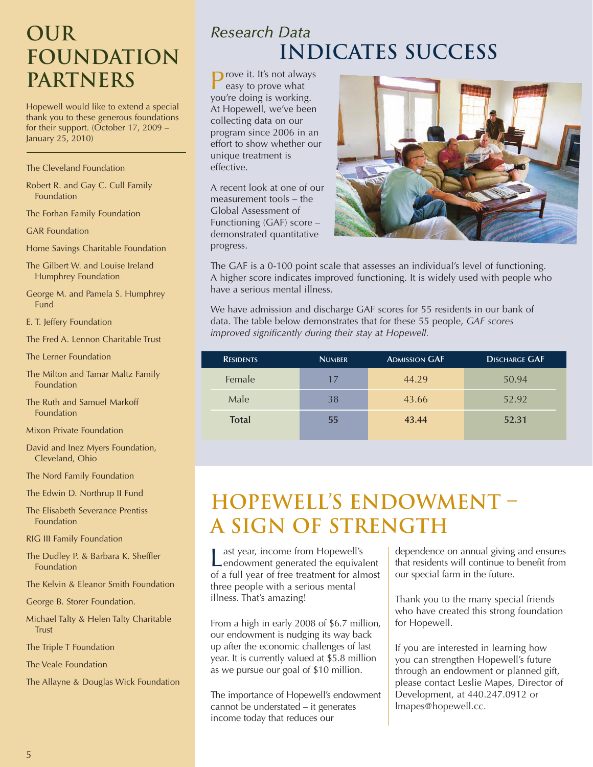## **Our Foundation Partners**

Hopewell would like to extend a special thank you to these generous foundations for their support. (October 17, 2009 – January 25, 2010)

#### The Cleveland Foundation

Robert R. and Gay C. Cull Family Foundation

The Forhan Family Foundation

GAR Foundation

- Home Savings Charitable Foundation
- The Gilbert W. and Louise Ireland Humphrey Foundation
- George M. and Pamela S. Humphrey Fund
- E. T. Jeffery Foundation
- The Fred A. Lennon Charitable Trust

The Lerner Foundation

- The Milton and Tamar Maltz Family Foundation
- The Ruth and Samuel Markoff Foundation

Mixon Private Foundation

David and Inez Myers Foundation, Cleveland, Ohio

The Nord Family Foundation

- The Edwin D. Northrup II Fund
- The Elisabeth Severance Prentiss Foundation

RIG III Family Foundation

- The Dudley P. & Barbara K. Sheffler Foundation
- The Kelvin & Eleanor Smith Foundation

George B. Storer Foundation.

Michael Talty & Helen Talty Charitable Trust

The Triple T Foundation

The Veale Foundation

The Allayne & Douglas Wick Foundation

### *Research Data*  **Indicates Success**

**P**rove it. It's not always easy to prove what you're doing is working. At Hopewell, we've been collecting data on our program since 2006 in an effort to show whether our unique treatment is effective.

A recent look at one of our measurement tools – the Global Assessment of Functioning (GAF) score – demonstrated quantitative progress.



The GAF is a 0-100 point scale that assesses an individual's level of functioning. A higher score indicates improved functioning. It is widely used with people who have a serious mental illness.

We have admission and discharge GAF scores for 55 residents in our bank of data. The table below demonstrates that for these 55 people, *GAF scores improved significantly during their stay at Hopewell.*

| <b>RESIDENTS</b> | <b>NUMBER</b> | <b>ADMISSION GAF</b> | <b>DISCHARGE GAF</b> |
|------------------|---------------|----------------------|----------------------|
| Female           | 17            | 44.29                | 50.94                |
| Male             | 38            | 43.66                | 52.92                |
| <b>Total</b>     | 55            | 43.44                | 52.31                |

### **Hopewell's Endowment – A Sign of Strength**

Last year, income from Hopewell's<br>
endowment generated the equivalent of a full year of free treatment for almost three people with a serious mental illness. That's amazing!

From a high in early 2008 of \$6.7 million, our endowment is nudging its way back up after the economic challenges of last year. It is currently valued at \$5.8 million as we pursue our goal of \$10 million.

The importance of Hopewell's endowment cannot be understated – it generates income today that reduces our

dependence on annual giving and ensures that residents will continue to benefit from our special farm in the future.

Thank you to the many special friends who have created this strong foundation for Hopewell.

If you are interested in learning how you can strengthen Hopewell's future through an endowment or planned gift, please contact Leslie Mapes, Director of Development, at 440.247.0912 or lmapes@hopewell.cc.